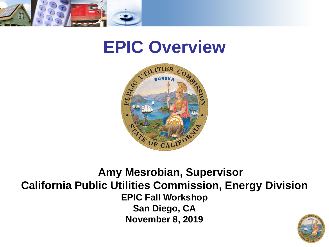

#### **EPIC Overview**



#### **Amy Mesrobian, Supervisor California Public Utilities Commission, Energy Division EPIC Fall Workshop San Diego, CA November 8, 2019**

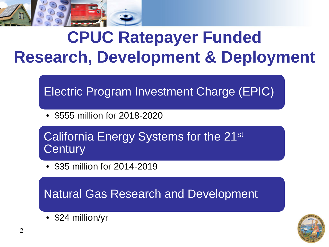

### **CPUC Ratepayer Funded Research, Development & Deployment**

Electric Program Investment Charge (EPIC)

• \$555 million for 2018-2020

California Energy Systems for the 21st **Century** 

• \$35 million for 2014-2019

Natural Gas Research and Development

• \$24 million/yr

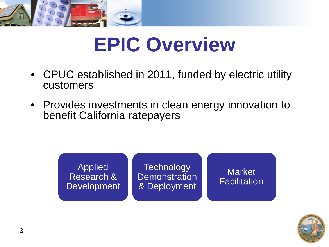

## **EPIC Overview**

- CPUC established in 2011, funded by electric utility customers
- Provides investments in clean energy innovation to benefit California ratepayers



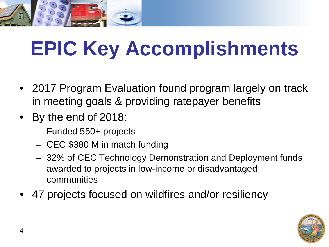

# **EPIC Key Accomplishments**

- 2017 Program Evaluation found program largely on track in meeting goals & providing ratepayer benefits
- By the end of 2018:
	- Funded 550+ projects
	- CEC \$380 M in match funding
	- 32% of CEC Technology Demonstration and Deployment funds awarded to projects in low-income or disadvantaged communities
- 47 projects focused on wildfires and/or resiliency

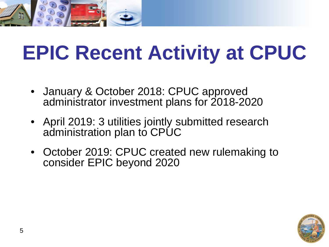

# **EPIC Recent Activity at CPUC**

- January & October 2018: CPUC approved administrator investment plans for 2018-2020
- April 2019: 3 utilities jointly submitted research administration plan to CPUC
- October 2019: CPUC created new rulemaking to consider EPIC beyond 2020

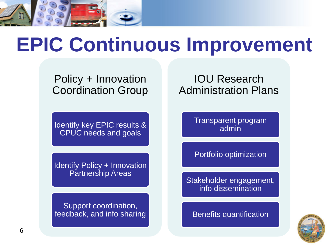

## **EPIC Continuous Improvement**

Policy + Innovation Coordination Group

Identify key EPIC results & CPUC needs and goals

Identify Policy + Innovation Partnership Areas

Support coordination, feedback, and info sharing

#### IOU Research Administration Plans

Transparent program admin

Portfolio optimization

Stakeholder engagement, info dissemination

Benefits quantification

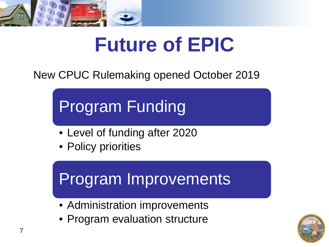

## **Future of EPIC**

New CPUC Rulemaking opened October 2019

Program Funding

- Level of funding after 2020
- Policy priorities

### Program Improvements

- Administration improvements
- Program evaluation structure